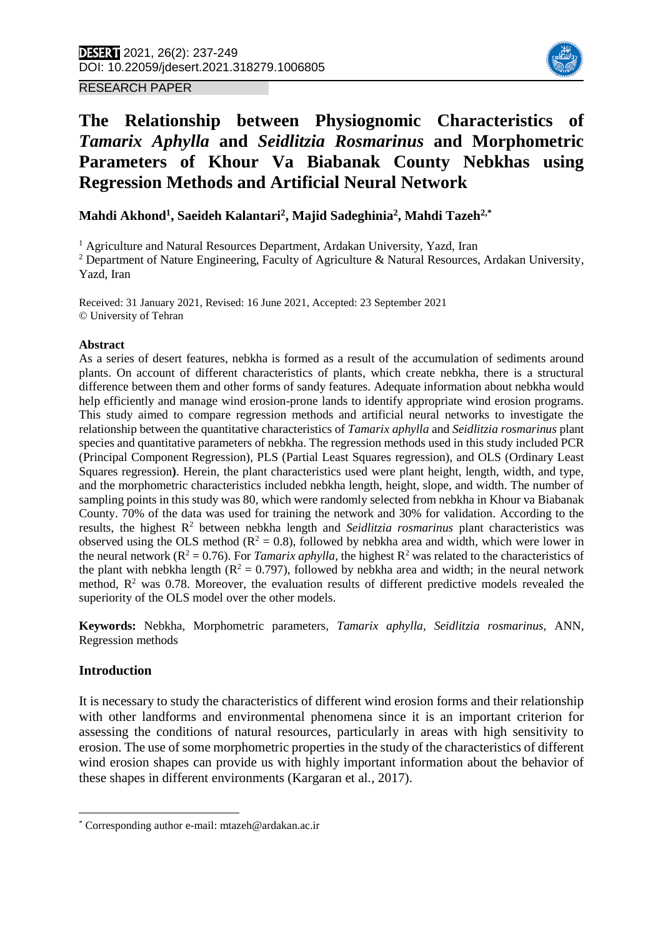RESEARCH PAPER



# **The Relationship between Physiognomic Characteristics of**  *Tamarix Aphylla* **and** *Seidlitzia Rosmarinus* **and Morphometric Parameters of Khour Va Biabanak County Nebkhas using Regression Methods and Artificial Neural Network**

**Mahdi Akhond<sup>1</sup> , Saeideh Kalantari<sup>2</sup> , Majid Sadeghinia<sup>2</sup> , Mahdi Tazeh2,\***<sup>1</sup>

<sup>1</sup> Agriculture and Natural Resources Department, Ardakan University, Yazd, Iran

<sup>2</sup> Department of Nature Engineering, Faculty of Agriculture & Natural Resources, Ardakan University, Yazd, Iran

Received: 31 January 2021, Revised: 16 June 2021, Accepted: 23 September 2021 © University of Tehran

#### **Abstract**

As a series of desert features, nebkha is formed as a result of the accumulation of sediments around plants. On account of different characteristics of plants, which create nebkha, there is a structural difference between them and other forms of sandy features. Adequate information about nebkha would help efficiently and manage wind erosion-prone lands to identify appropriate wind erosion programs. This study aimed to compare regression methods and artificial neural networks to investigate the relationship between the quantitative characteristics of *Tamarix aphylla* and *Seidlitzia rosmarinus* plant species and quantitative parameters of nebkha. The regression methods used in this study included PCR (Principal Component Regression), PLS (Partial Least Squares regression), and OLS (Ordinary Least Squares regression**)**. Herein, the plant characteristics used were plant height, length, width, and type, and the morphometric characteristics included nebkha length, height, slope, and width. The number of sampling points in this study was 80, which were randomly selected from nebkha in Khour va Biabanak County. 70% of the data was used for training the network and 30% for validation. According to the results, the highest R<sup>2</sup> between nebkha length and *Seidlitzia rosmarinus* plant characteristics was observed using the OLS method ( $R^2 = 0.8$ ), followed by nebkha area and width, which were lower in the neural network ( $\mathbb{R}^2 = 0.76$ ). For *Tamarix aphylla*, the highest  $\mathbb{R}^2$  was related to the characteristics of the plant with nebkha length ( $R^2 = 0.797$ ), followed by nebkha area and width; in the neural network method,  $\mathbb{R}^2$  was 0.78. Moreover, the evaluation results of different predictive models revealed the superiority of the OLS model over the other models.

**Keywords:** Nebkha, Morphometric parameters, *Tamarix aphylla*, *Seidlitzia rosmarinus*, ANN, Regression methods

# **Introduction**

 $\overline{\phantom{a}}$ 

It is necessary to study the characteristics of different wind erosion forms and their relationship with other landforms and environmental phenomena since it is an important criterion for assessing the conditions of natural resources, particularly in areas with high sensitivity to erosion. The use of some morphometric properties in the study of the characteristics of different wind erosion shapes can provide us with highly important information about the behavior of these shapes in different environments (Kargaran et al*.*, 2017).

<sup>\*</sup> Corresponding author e-mail: mtazeh@ardakan.ac.ir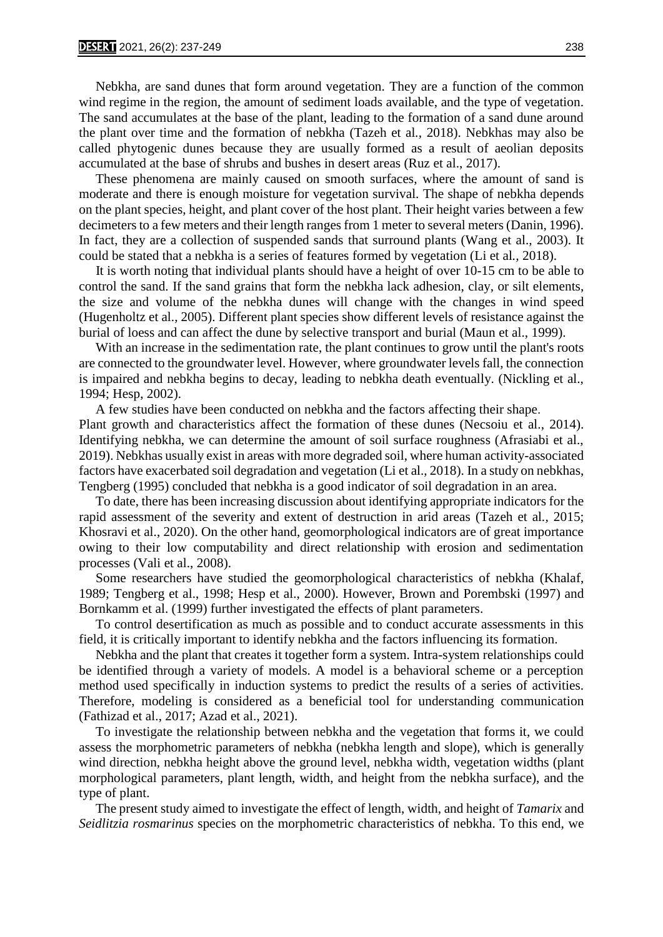Nebkha, are sand dunes that form around vegetation. They are a function of the common wind regime in the region, the amount of sediment loads available, and the type of vegetation. The sand accumulates at the base of the plant, leading to the formation of a sand dune around the plant over time and the formation of nebkha (Tazeh et al*.,* 2018). Nebkhas may also be called phytogenic dunes because they are usually formed as a result of aeolian deposits accumulated at the base of shrubs and bushes in desert areas (Ruz et al., 2017).

 These phenomena are mainly caused on smooth surfaces, where the amount of sand is moderate and there is enough moisture for vegetation survival. The shape of nebkha depends on the plant species, height, and plant cover of the host plant. Their height varies between a few decimeters to a few meters and their length ranges from 1 meter to several meters (Danin, 1996). In fact, they are a collection of suspended sands that surround plants (Wang et al., 2003). It could be stated that a nebkha is a series of features formed by vegetation (Li et al*.,* 2018).

 It is worth noting that individual plants should have a height of over 10-15 cm to be able to control the sand. If the sand grains that form the nebkha lack adhesion, clay, or silt elements, the size and volume of the nebkha dunes will change with the changes in wind speed (Hugenholtz et al., 2005). Different plant species show different levels of resistance against the burial of loess and can affect the dune by selective transport and burial (Maun et al., 1999).

With an increase in the sedimentation rate, the plant continues to grow until the plant's roots are connected to the groundwater level. However, where groundwater levels fall, the connection is impaired and nebkha begins to decay, leading to nebkha death eventually. (Nickling et al., 1994; Hesp, 2002).

 A few studies have been conducted on nebkha and the factors affecting their shape. Plant growth and characteristics affect the formation of these dunes (Necsoiu et al., 2014). Identifying nebkha, we can determine the amount of soil surface roughness (Afrasiabi et al., 2019). Nebkhas usually exist in areas with more degraded soil, where human activity-associated factors have exacerbated soil degradation and vegetation (Li et al., 2018). In a study on nebkhas, Tengberg (1995) concluded that nebkha is a good indicator of soil degradation in an area.

 To date, there has been increasing discussion about identifying appropriate indicators for the rapid assessment of the severity and extent of destruction in arid areas (Tazeh et al*.,* 2015; Khosravi et al., 2020). On the other hand, geomorphological indicators are of great importance owing to their low computability and direct relationship with erosion and sedimentation processes (Vali et al., 2008).

 Some researchers have studied the geomorphological characteristics of nebkha (Khalaf, 1989; Tengberg et al., 1998; Hesp et al., 2000). However, Brown and Porembski (1997) and Bornkamm et al. (1999) further investigated the effects of plant parameters.

 To control desertification as much as possible and to conduct accurate assessments in this field, it is critically important to identify nebkha and the factors influencing its formation.

 Nebkha and the plant that creates it together form a system. Intra-system relationships could be identified through a variety of models. A model is a behavioral scheme or a perception method used specifically in induction systems to predict the results of a series of activities. Therefore, modeling is considered as a beneficial tool for understanding communication (Fathizad et al., 2017; Azad et al., 2021).

 To investigate the relationship between nebkha and the vegetation that forms it, we could assess the morphometric parameters of nebkha (nebkha length and slope), which is generally wind direction, nebkha height above the ground level, nebkha width, vegetation widths (plant morphological parameters, plant length, width, and height from the nebkha surface), and the type of plant.

 The present study aimed to investigate the effect of length, width, and height of *Tamarix* and *Seidlitzia rosmarinus* species on the morphometric characteristics of nebkha. To this end, we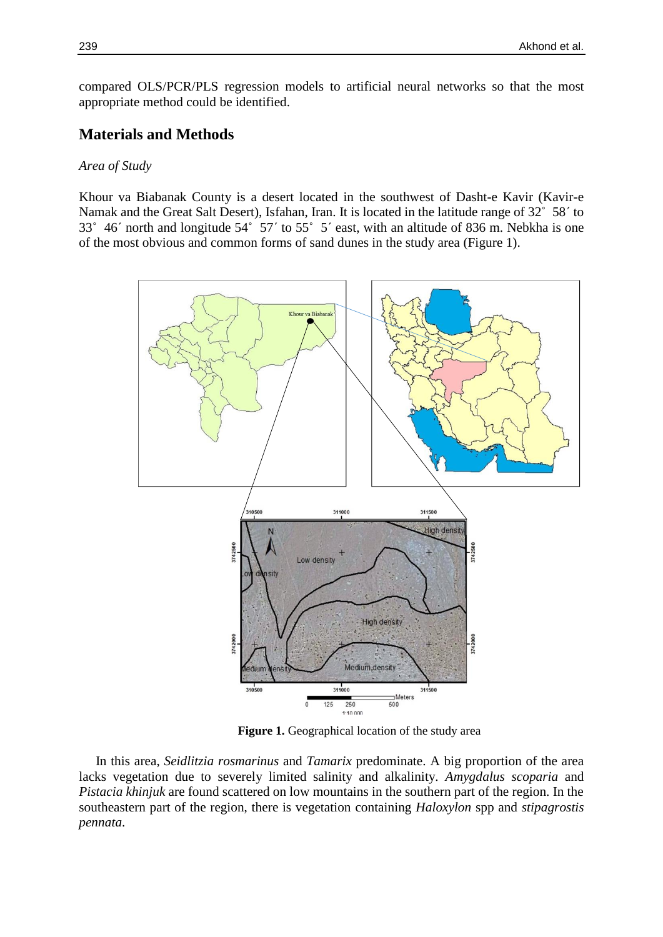compared OLS/PCR/PLS regression models to artificial neural networks so that the most appropriate method could be identified.

# **Materials and Methods**

#### *Area of Study*

Khour va Biabanak County is a desert located in the southwest of Dasht-e Kavir (Kavir-e Namak and the Great Salt Desert), Isfahan, Iran. It is located in the latitude range of 32˚ 58´ to 33˚ 46´ north and longitude 54˚ 57´ to 55˚ 5´ east, with an altitude of 836 m. Nebkha is one of the most obvious and common forms of sand dunes in the study area (Figure 1).



**Figure 1.** Geographical location of the study area

 In this area, *Seidlitzia rosmarinus* and *Tamarix* predominate. A big proportion of the area lacks vegetation due to severely limited salinity and alkalinity. *Amygdalus scoparia* and *Pistacia khinjuk* are found scattered on low mountains in the southern part of the region. In the southeastern part of the region, there is vegetation containing *Haloxylon* spp and *stipagrostis pennata*.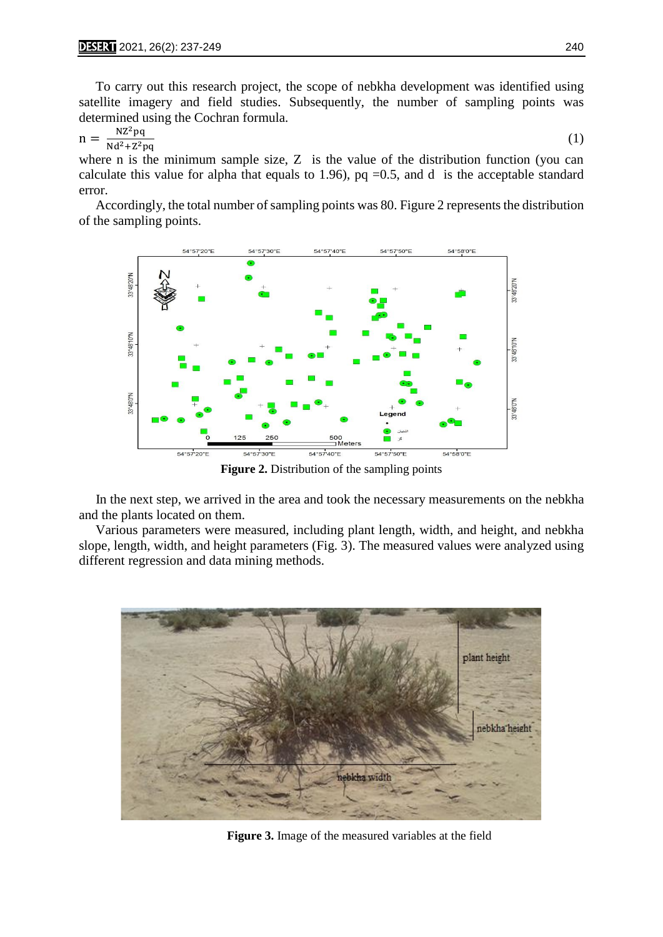To carry out this research project, the scope of nebkha development was identified using satellite imagery and field studies. Subsequently, the number of sampling points was determined using the Cochran formula.

$$
n = \frac{NZ^2pq}{Nd^2 + Z^2pq} \tag{1}
$$

where n is the minimum sample size, Z is the value of the distribution function (you can calculate this value for alpha that equals to 1.96),  $pq = 0.5$ , and d is the acceptable standard error.

 Accordingly, the total number of sampling points was 80. Figure 2 represents the distribution of the sampling points.



**Figure 2.** Distribution of the sampling points

 In the next step, we arrived in the area and took the necessary measurements on the nebkha and the plants located on them.

 Various parameters were measured, including plant length, width, and height, and nebkha slope, length, width, and height parameters (Fig. 3). The measured values were analyzed using different regression and data mining methods.



**Figure 3.** Image of the measured variables at the field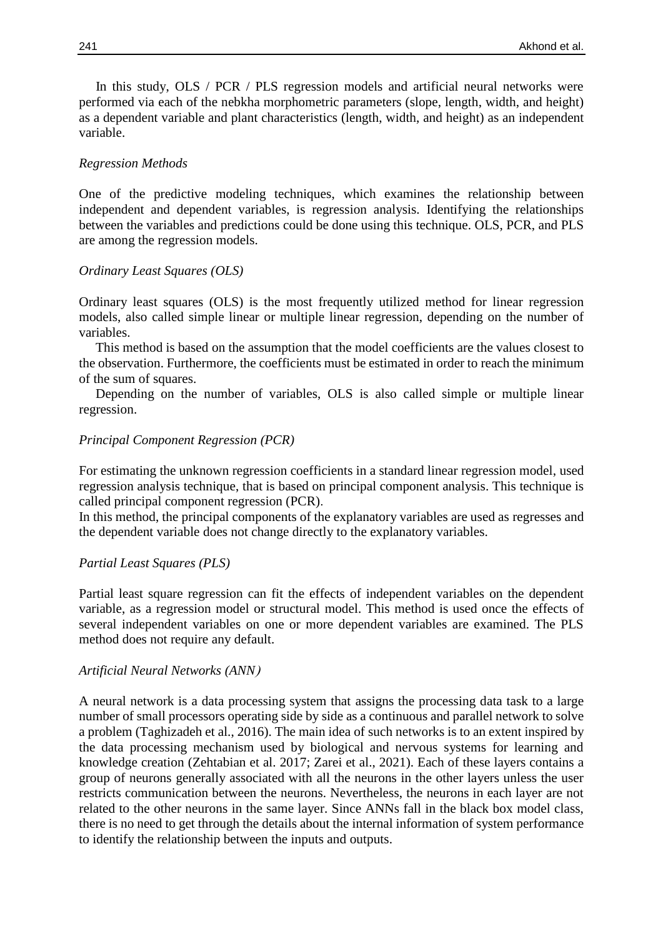In this study, OLS / PCR / PLS regression models and artificial neural networks were performed via each of the nebkha morphometric parameters (slope, length, width, and height) as a dependent variable and plant characteristics (length, width, and height) as an independent variable.

#### *Regression Methods*

One of the predictive modeling techniques, which examines the relationship between independent and dependent variables, is regression analysis. Identifying the relationships between the variables and predictions could be done using this technique. OLS, PCR, and PLS are among the regression models.

#### *Ordinary Least Squares (OLS)*

Ordinary least squares (OLS) is the most frequently utilized method for linear regression models, also called simple linear or multiple linear regression, depending on the number of variables.

 This method is based on the assumption that the model coefficients are the values closest to the observation. Furthermore, the coefficients must be estimated in order to reach the minimum of the sum of squares.

 Depending on the number of variables, OLS is also called simple or multiple linear regression.

#### *Principal Component Regression (PCR)*

For estimating the unknown regression coefficients in a standard linear regression model, used regression analysis technique, that is based on principal component analysis. This technique is called principal component regression (PCR).

In this method, the principal components of the explanatory variables are used as regresses and the dependent variable does not change directly to the explanatory variables.

#### *Partial Least Squares (PLS)*

Partial least square regression can fit the effects of independent variables on the dependent variable, as a regression model or structural model. This method is used once the effects of several independent variables on one or more dependent variables are examined. The PLS method does not require any default.

#### **Artificial Neural Networks (ANN)**

A neural network is a data processing system that assigns the processing data task to a large number of small processors operating side by side as a continuous and parallel network to solve a problem (Taghizadeh et al., 2016). The main idea of such networks is to an extent inspired by the data processing mechanism used by biological and nervous systems for learning and knowledge creation (Zehtabian et al. 2017; Zarei et al., 2021). Each of these layers contains a group of neurons generally associated with all the neurons in the other layers unless the user restricts communication between the neurons. Nevertheless, the neurons in each layer are not related to the other neurons in the same layer. Since ANNs fall in the black box model class, there is no need to get through the details about the internal information of system performance to identify the relationship between the inputs and outputs.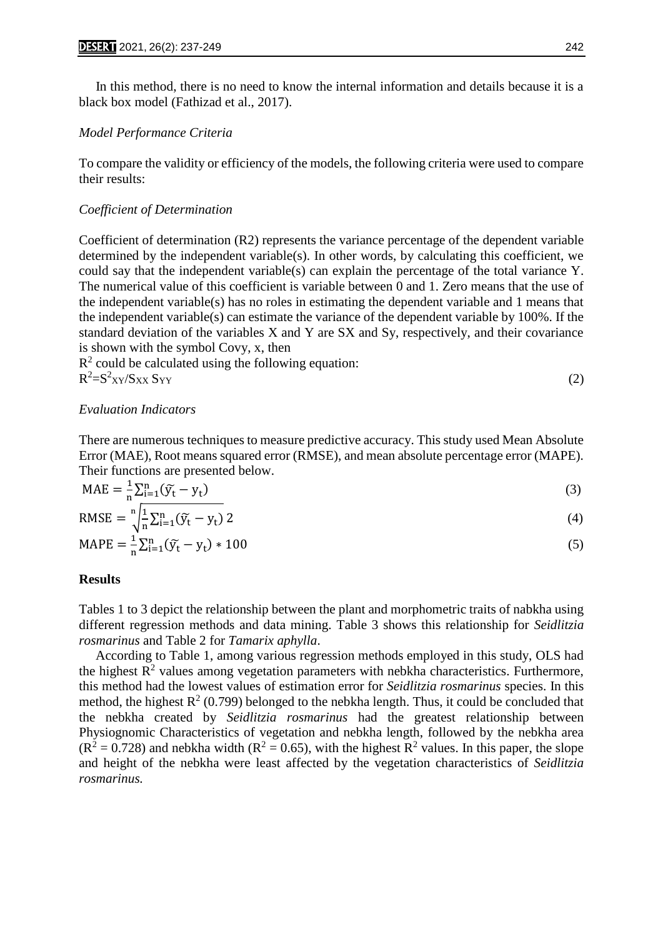In this method, there is no need to know the internal information and details because it is a black box model (Fathizad et al., 2017).

#### *Model Performance Criteria*

To compare the validity or efficiency of the models, the following criteria were used to compare their results:

#### *Coefficient of Determination*

Coefficient of determination (R2) represents the variance percentage of the dependent variable determined by the independent variable(s). In other words, by calculating this coefficient, we could say that the independent variable(s) can explain the percentage of the total variance Y. The numerical value of this coefficient is variable between 0 and 1. Zero means that the use of the independent variable(s) has no roles in estimating the dependent variable and 1 means that the independent variable(s) can estimate the variance of the dependent variable by 100%. If the standard deviation of the variables X and Y are SX and Sy, respectively, and their covariance is shown with the symbol Covy, x, then

 $R<sup>2</sup>$  could be calculated using the following equation:  $R^2 = S^2$ <sub>XY</sub>/S<sub>XX</sub> S<sub>YY</sub> (2)

#### *Evaluation Indicators*

There are numerous techniques to measure predictive accuracy. This study used Mean Absolute Error (MAE), Root means squared error (RMSE), and mean absolute percentage error (MAPE). Their functions are presented below.

$$
MAE = \frac{1}{n} \sum_{i=1}^{n} (\widetilde{y}_t - y_t)
$$
\n(3)

$$
RMSE = \sqrt[n]{\frac{1}{n} \sum_{i=1}^{n} (\widetilde{y}_t - y_t) 2}
$$
 (4)

$$
MAPE = \frac{1}{n} \sum_{i=1}^{n} (\widetilde{y}_t - y_t) * 100
$$
 (5)

#### **Results**

Tables 1 to 3 depict the relationship between the plant and morphometric traits of nabkha using different regression methods and data mining. Table 3 shows this relationship for *Seidlitzia rosmarinus* and Table 2 for *Tamarix aphylla*.

 According to Table 1, among various regression methods employed in this study, OLS had the highest  $R<sup>2</sup>$  values among vegetation parameters with nebkha characteristics. Furthermore, this method had the lowest values of estimation error for *Seidlitzia rosmarinus* species. In this method, the highest  $R^2$  (0.799) belonged to the nebkha length. Thus, it could be concluded that the nebkha created by *Seidlitzia rosmarinus* had the greatest relationship between Physiognomic Characteristics of vegetation and nebkha length, followed by the nebkha area  $(R^2 = 0.728)$  and nebkha width  $(R^2 = 0.65)$ , with the highest  $R^2$  values. In this paper, the slope and height of the nebkha were least affected by the vegetation characteristics of *Seidlitzia rosmarinus.*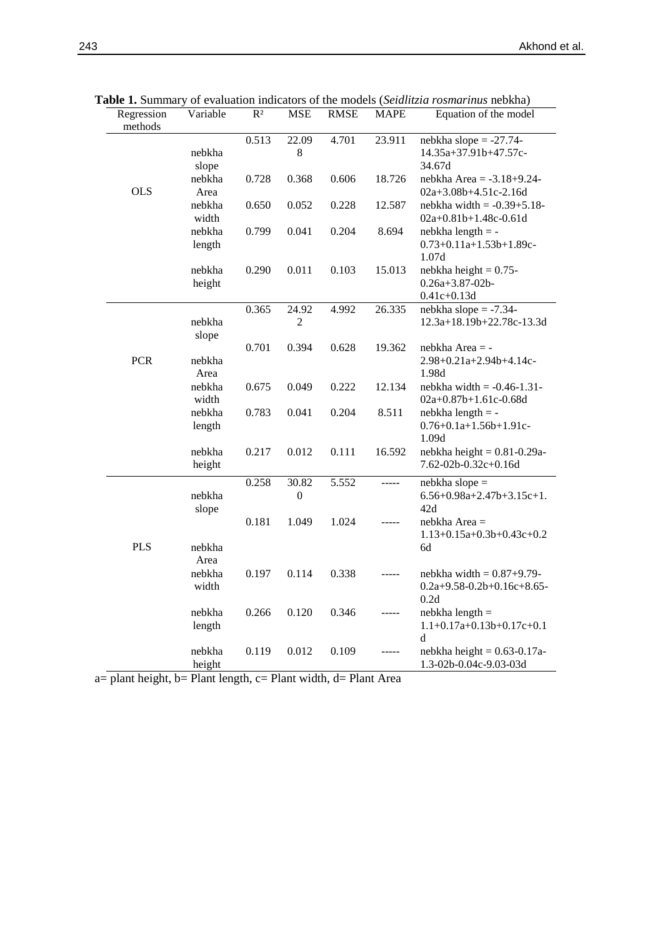| Regression | Variable         | R <sup>2</sup> | <b>MSE</b>       | <b>RMSE</b> | <b>MAPE</b> | Equation of the model                                    |
|------------|------------------|----------------|------------------|-------------|-------------|----------------------------------------------------------|
| methods    |                  |                |                  |             |             |                                                          |
|            |                  | 0.513          | 22.09            | 4.701       | 23.911      | nebkha slope $= -27.74$ -                                |
|            | nebkha           |                | 8                |             |             | $14.35a+37.91b+47.57c-$                                  |
|            | slope            |                |                  |             |             | 34.67d                                                   |
|            | nebkha           | 0.728          | 0.368            | 0.606       | 18.726      | nebkha Area = $-3.18+9.24-$                              |
| <b>OLS</b> | Area             |                |                  |             |             | 02a+3.08b+4.51c-2.16d                                    |
|            | nebkha           | 0.650          | 0.052            | 0.228       | 12.587      | nebkha width $= -0.39 + 5.18$ -                          |
|            | width            |                |                  |             |             | 02a+0.81b+1.48c-0.61d                                    |
|            | nebkha           | 0.799          | 0.041            | 0.204       | 8.694       | $nebkha length = -$                                      |
|            | length           |                |                  |             |             | $0.73+0.11a+1.53b+1.89c-$                                |
|            |                  |                |                  |             |             | 1.07d                                                    |
|            | nebkha<br>height | 0.290          | 0.011            | 0.103       | 15.013      | nebkha height = $0.75$ -<br>$0.26a + 3.87 - 02b$         |
|            |                  |                |                  |             |             | $0.41c + 0.13d$                                          |
|            |                  | 0.365          | 24.92            | 4.992       | 26.335      | nebkha slope $= -7.34$ -                                 |
|            | nebkha           |                | 2                |             |             | 12.3a+18.19b+22.78c-13.3d                                |
|            | slope            |                |                  |             |             |                                                          |
|            |                  | 0.701          | 0.394            | 0.628       | 19.362      | nebkha Area = -                                          |
| <b>PCR</b> | nebkha           |                |                  |             |             | $2.98+0.21a+2.94b+4.14c-$                                |
|            | Area             |                |                  |             |             | 1.98d                                                    |
|            | nebkha           | 0.675          | 0.049            | 0.222       | 12.134      | nebkha width = $-0.46 - 1.31$                            |
|            | width            |                |                  |             |             | 02a+0.87b+1.61c-0.68d                                    |
|            | nebkha           | 0.783          | 0.041            | 0.204       | 8.511       | $nebkha length = -$                                      |
|            | length           |                |                  |             |             | $0.76 + 0.1a + 1.56b + 1.91c$                            |
|            |                  | 0.217          | 0.012            | 0.111       |             | 1.09d                                                    |
|            | nebkha<br>height |                |                  |             | 16.592      | nebkha height = $0.81 - 0.29a$ -<br>7.62-02b-0.32c+0.16d |
|            |                  |                |                  |             |             |                                                          |
|            |                  | 0.258          | 30.82            | 5.552       | -----       | nebkha slope =                                           |
|            | nebkha           |                | $\boldsymbol{0}$ |             |             | $6.56+0.98a+2.47b+3.15c+1.$<br>42d                       |
|            | slope            | 0.181          | 1.049            | 1.024       |             | nebkha Area =                                            |
|            |                  |                |                  |             |             | $1.13+0.15a+0.3b+0.43c+0.2$                              |
| <b>PLS</b> | nebkha           |                |                  |             |             | 6d                                                       |
|            | Area             |                |                  |             |             |                                                          |
|            | nebkha           | 0.197          | 0.114            | 0.338       |             | nebkha width $= 0.87+9.79$ -                             |
|            | width            |                |                  |             |             | $0.2a+9.58-0.2b+0.16c+8.65-$                             |
|            |                  |                |                  |             |             | 0.2d                                                     |
|            | nebkha           | 0.266          | 0.120            | 0.346       |             | $nebkha length =$                                        |
|            | length           |                |                  |             |             | $1.1+0.17a+0.13b+0.17c+0.1$                              |
|            |                  |                |                  |             |             | d                                                        |
|            | nebkha           | 0.119          | 0.012            | 0.109       |             | nebkha height = $0.63 - 0.17a$                           |
|            | height           |                |                  |             |             | 1.3-02b-0.04c-9.03-03d                                   |

**Table 1.** Summary of evaluation indicators of the models (*Seidlitzia rosmarinus* nebkha)

a= plant height, b= Plant length, c= Plant width, d= Plant Area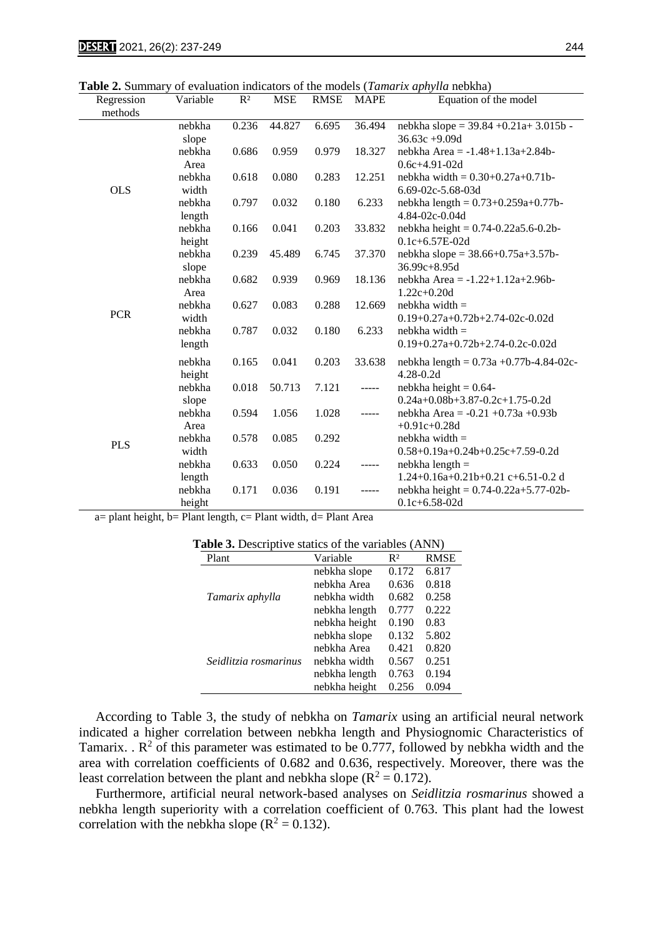**Table 2.** Summary of evaluation indicators of the models (*Tamarix aphylla* nebkha)

| Regression | Variable | $R^2$ | <b>MSE</b> | <b>RMSE</b> | <b>MAPE</b> | <b>radic 2.</b> Daminary or evaluation multators of the models ( <i>ramaria apriyin</i> d hebitia)<br>Equation of the model |
|------------|----------|-------|------------|-------------|-------------|-----------------------------------------------------------------------------------------------------------------------------|
| methods    |          |       |            |             |             |                                                                                                                             |
|            | nebkha   | 0.236 | 44.827     | 6.695       | 36.494      | nebkha slope = $39.84 + 0.21a + 3.015b$ -                                                                                   |
|            | slope    |       |            |             |             | $36.63c +9.09d$                                                                                                             |
|            | nebkha   | 0.686 | 0.959      | 0.979       | 18.327      | nebkha Area = $-1.48 + 1.13a + 2.84b$                                                                                       |
|            | Area     |       |            |             |             | $0.6c + 4.91 - 02d$                                                                                                         |
|            | nebkha   | 0.618 | 0.080      | 0.283       | 12.251      | nebkha width = $0.30+0.27a+0.71b$                                                                                           |
| <b>OLS</b> | width    |       |            |             |             | 6.69-02c-5.68-03d                                                                                                           |
|            | nebkha   | 0.797 | 0.032      | 0.180       | 6.233       | nebkha length = $0.73+0.259a+0.77b$ -                                                                                       |
|            | length   |       |            |             |             | 4.84-02c-0.04d                                                                                                              |
|            | nebkha   | 0.166 | 0.041      | 0.203       | 33.832      | nebkha height = $0.74 - 0.22a5.6 - 0.2b$                                                                                    |
|            | height   |       |            |             |             | $0.1c + 6.57E - 02d$                                                                                                        |
|            | nebkha   | 0.239 | 45.489     | 6.745       | 37.370      | nebkha slope = $38.66+0.75a+3.57b$ -                                                                                        |
|            | slope    |       |            |             |             | $36.99c + 8.95d$                                                                                                            |
|            | nebkha   | 0.682 | 0.939      | 0.969       | 18.136      | nebkha Area = -1.22+1.12a+2.96b-                                                                                            |
|            | Area     |       |            |             |             | $1.22c + 0.20d$                                                                                                             |
| <b>PCR</b> | nebkha   | 0.627 | 0.083      | 0.288       | 12.669      | $nebkha$ width $=$                                                                                                          |
|            | width    |       |            |             |             | $0.19+0.27a+0.72b+2.74-02c-0.02d$                                                                                           |
|            | nebkha   | 0.787 | 0.032      | 0.180       | 6.233       | $nebkha width =$                                                                                                            |
|            | length   |       |            |             |             | $0.19+0.27a+0.72b+2.74-0.2c-0.02d$                                                                                          |
|            | nebkha   | 0.165 | 0.041      | 0.203       | 33.638      | nebkha length = $0.73a + 0.77b - 4.84 - 02c$                                                                                |
|            | height   |       |            |             |             | $4.28 - 0.2d$                                                                                                               |
|            | nebkha   | 0.018 | 50.713     | 7.121       | -----       | nebkha height = $0.64$ -                                                                                                    |
|            | slope    |       |            |             |             | $0.24a+0.08b+3.87-0.2c+1.75-0.2d$                                                                                           |
|            | nebkha   | 0.594 | 1.056      | 1.028       | -----       | nebkha Area = $-0.21 + 0.73a + 0.93b$                                                                                       |
|            | Area     |       |            |             |             | $+0.91c + 0.28d$                                                                                                            |
| <b>PLS</b> | nebkha   | 0.578 | 0.085      | 0.292       |             | $nebkha width =$                                                                                                            |
|            | width    |       |            |             |             | 0.58+0.19a+0.24b+0.25c+7.59-0.2d                                                                                            |
|            | nebkha   | 0.633 | 0.050      | 0.224       | -----       | $nebkha length =$                                                                                                           |
|            | length   |       |            |             |             | 1.24+0.16a+0.21b+0.21 c+6.51-0.2 d                                                                                          |
|            | nebkha   | 0.171 | 0.036      | 0.191       |             | nebkha height = $0.74 - 0.22a + 5.77 - 02b$                                                                                 |
|            | height   |       |            |             |             | $0.1c + 6.58 - 02d$                                                                                                         |

a= plant height, b= Plant length, c= Plant width, d= Plant Area

| <b>Table 3.</b> Descriptive statics of the variables (ANN) |               |       |             |  |  |  |  |
|------------------------------------------------------------|---------------|-------|-------------|--|--|--|--|
| Plant                                                      | Variable      | $R^2$ | <b>RMSE</b> |  |  |  |  |
|                                                            | nebkha slope  | 0.172 | 6.817       |  |  |  |  |
|                                                            | nebkha Area   | 0.636 | 0.818       |  |  |  |  |
| Tamarix aphylla                                            | nebkha width  | 0.682 | 0.258       |  |  |  |  |
|                                                            | nebkha length | 0.777 | 0.222       |  |  |  |  |
|                                                            | nebkha height | 0.190 | 0.83        |  |  |  |  |
|                                                            | nebkha slope  | 0.132 | 5.802       |  |  |  |  |
|                                                            | nebkha Area   | 0.421 | 0.820       |  |  |  |  |
| Seidlitzia rosmarinus                                      | nebkha width  | 0.567 | 0.251       |  |  |  |  |
|                                                            | nebkha length | 0.763 | 0.194       |  |  |  |  |
|                                                            | nebkha height | 0.256 | 0.094       |  |  |  |  |

 According to Table 3, the study of nebkha on *Tamarix* using an artificial neural network indicated a higher correlation between nebkha length and Physiognomic Characteristics of Tamarix.  $\mathbb{R}^2$  of this parameter was estimated to be 0.777, followed by nebkha width and the area with correlation coefficients of 0.682 and 0.636, respectively. Moreover, there was the least correlation between the plant and nebkha slope ( $\mathbb{R}^2 = 0.172$ ).

 Furthermore, artificial neural network-based analyses on *Seidlitzia rosmarinus* showed a nebkha length superiority with a correlation coefficient of 0.763. This plant had the lowest correlation with the nebkha slope ( $R^2 = 0.132$ ).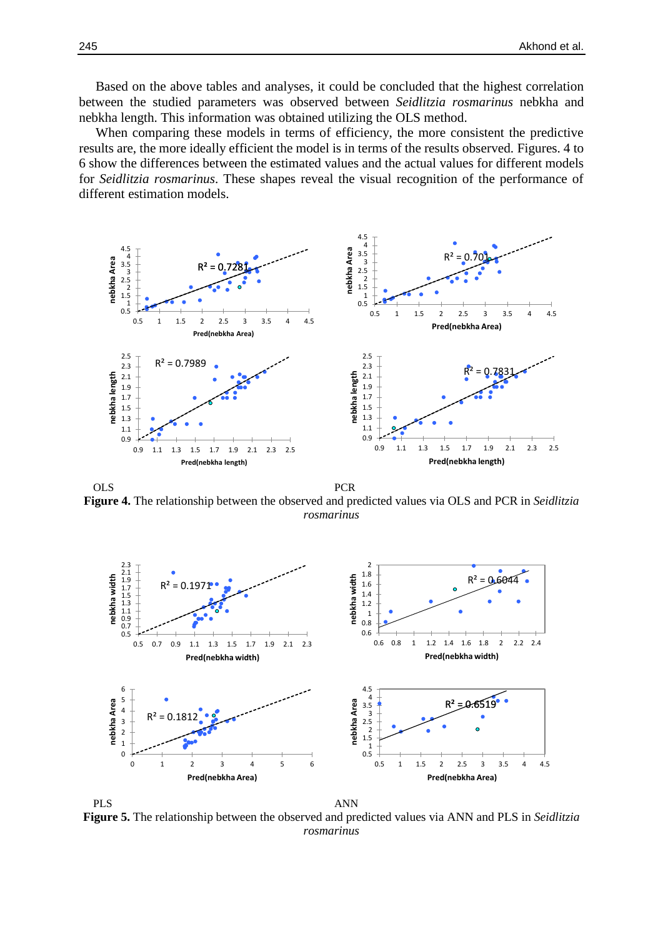Based on the above tables and analyses, it could be concluded that the highest correlation between the studied parameters was observed between *Seidlitzia rosmarinus* nebkha and nebkha length. This information was obtained utilizing the OLS method.

 When comparing these models in terms of efficiency, the more consistent the predictive results are, the more ideally efficient the model is in terms of the results observed. Figures. 4 to 6 show the differences between the estimated values and the actual values for different models for *Seidlitzia rosmarinus*. These shapes reveal the visual recognition of the performance of different estimation models.



OLS PCR **Figure 4.** The relationship between the observed and predicted values via OLS and PCR in *Seidlitzia rosmarinus*



PLS ANN **Figure 5.** The relationship between the observed and predicted values via ANN and PLS in *Seidlitzia rosmarinus*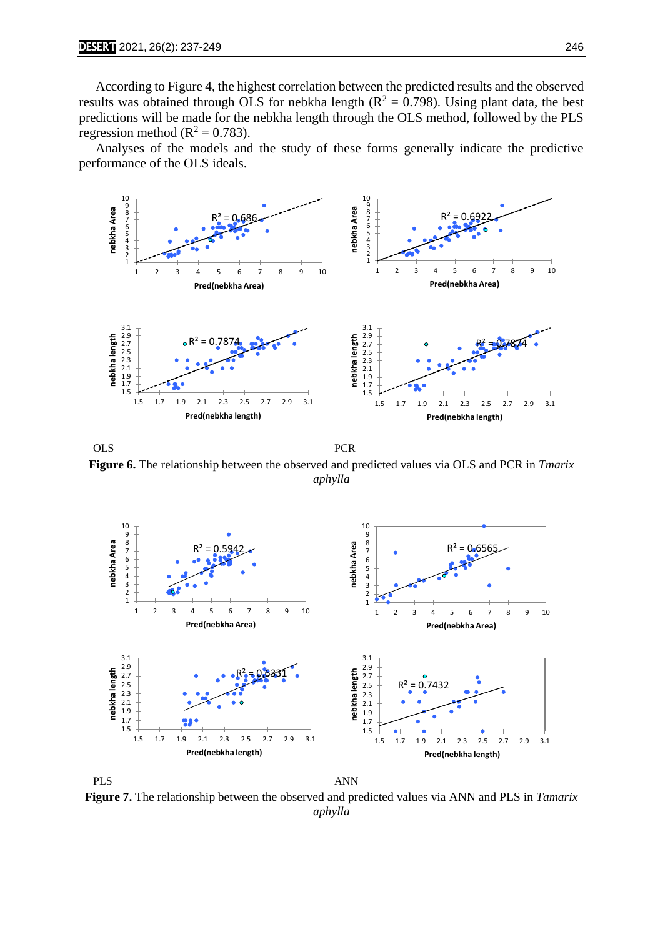According to Figure 4, the highest correlation between the predicted results and the observed results was obtained through OLS for nebkha length ( $R^2 = 0.798$ ). Using plant data, the best predictions will be made for the nebkha length through the OLS method, followed by the PLS regression method ( $R^2 = 0.783$ ).

 Analyses of the models and the study of these forms generally indicate the predictive performance of the OLS ideals.



OLS PCR **Figure 6.** The relationship between the observed and predicted values via OLS and PCR in *Tmarix aphylla*



**Figure 7.** The relationship between the observed and predicted values via ANN and PLS in *Tamarix aphylla*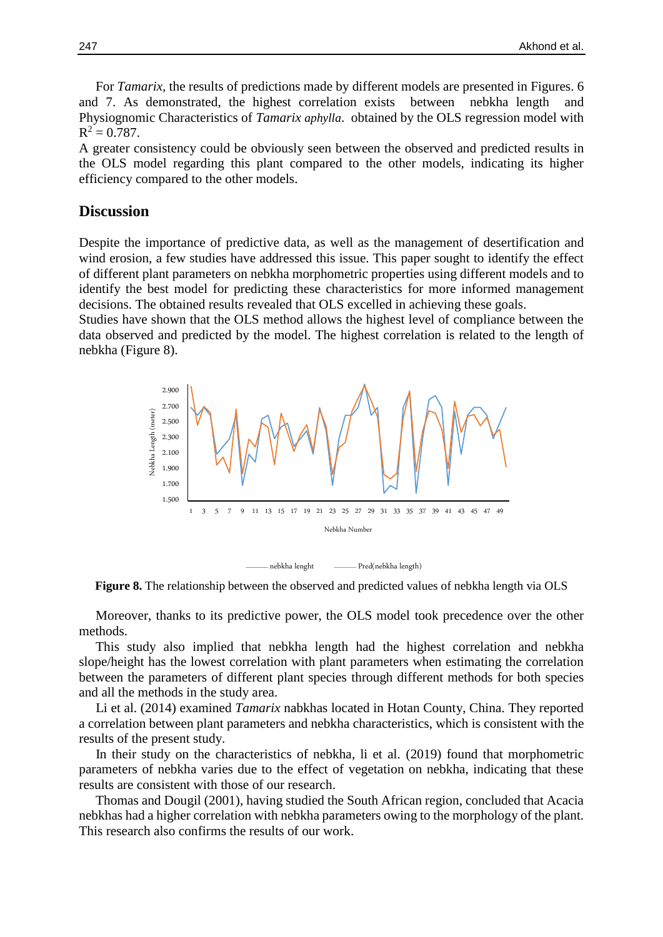For *Tamarix,* the results of predictions made by different models are presented in Figures. 6 and 7. As demonstrated, the highest correlation exists between nebkha length and Physiognomic Characteristics of *Tamarix aphylla*. obtained by the OLS regression model with  $R^2 = 0.787$ .

A greater consistency could be obviously seen between the observed and predicted results in the OLS model regarding this plant compared to the other models, indicating its higher efficiency compared to the other models.

### **Discussion**

Despite the importance of predictive data, as well as the management of desertification and wind erosion, a few studies have addressed this issue. This paper sought to identify the effect of different plant parameters on nebkha morphometric properties using different models and to identify the best model for predicting these characteristics for more informed management decisions. The obtained results revealed that OLS excelled in achieving these goals.

Studies have shown that the OLS method allows the highest level of compliance between the data observed and predicted by the model. The highest correlation is related to the length of nebkha (Figure 8).



**Figure 8.** The relationship between the observed and predicted values of nebkha length via OLS

 Moreover, thanks to its predictive power, the OLS model took precedence over the other methods.

 This study also implied that nebkha length had the highest correlation and nebkha slope/height has the lowest correlation with plant parameters when estimating the correlation between the parameters of different plant species through different methods for both species and all the methods in the study area.

 Li et al. (2014) examined *Tamarix* nabkhas located in Hotan County, China. They reported a correlation between plant parameters and nebkha characteristics, which is consistent with the results of the present study.

 In their study on the characteristics of nebkha, li et al*.* (2019) found that morphometric parameters of nebkha varies due to the effect of vegetation on nebkha, indicating that these results are consistent with those of our research.

 Thomas and Dougil (2001), having studied the South African region, concluded that Acacia nebkhas had a higher correlation with nebkha parameters owing to the morphology of the plant. This research also confirms the results of our work.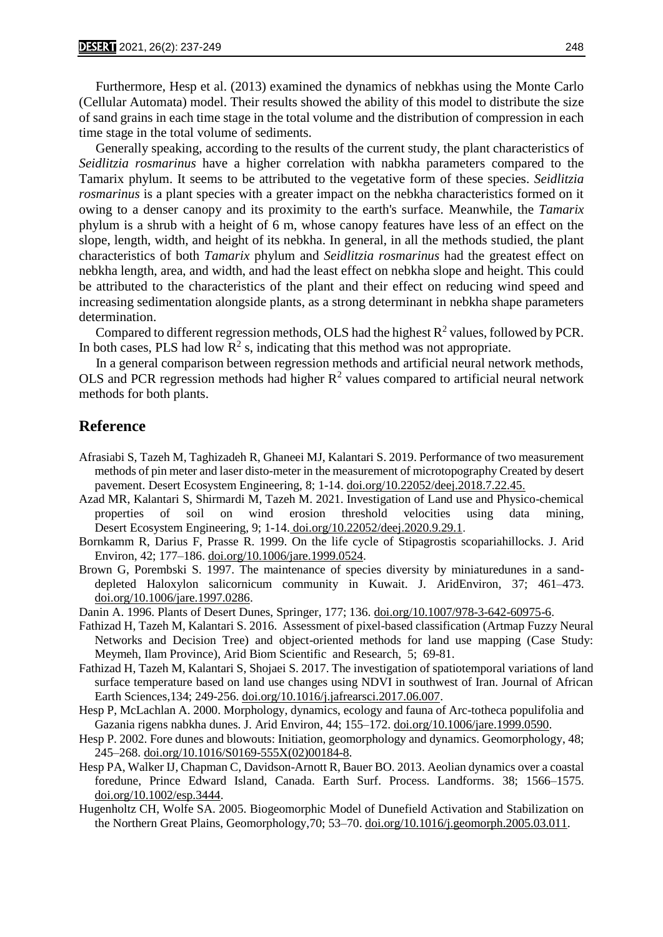Furthermore, Hesp et al. (2013) examined the dynamics of nebkhas using the Monte Carlo (Cellular Automata) model. Their results showed the ability of this model to distribute the size of sand grains in each time stage in the total volume and the distribution of compression in each time stage in the total volume of sediments.

 Generally speaking, according to the results of the current study, the plant characteristics of *Seidlitzia rosmarinus* have a higher correlation with nabkha parameters compared to the Tamarix phylum. It seems to be attributed to the vegetative form of these species. *Seidlitzia rosmarinus* is a plant species with a greater impact on the nebkha characteristics formed on it owing to a denser canopy and its proximity to the earth's surface. Meanwhile, the *Tamarix*  phylum is a shrub with a height of 6 m, whose canopy features have less of an effect on the slope, length, width, and height of its nebkha. In general, in all the methods studied, the plant characteristics of both *Tamarix* phylum and *Seidlitzia rosmarinus* had the greatest effect on nebkha length, area, and width, and had the least effect on nebkha slope and height. This could be attributed to the characteristics of the plant and their effect on reducing wind speed and increasing sedimentation alongside plants, as a strong determinant in nebkha shape parameters determination.

Compared to different regression methods, OLS had the highest  $R^2$  values, followed by PCR. In both cases, PLS had low  $\mathbb{R}^2$  s, indicating that this method was not appropriate.

 In a general comparison between regression methods and artificial neural network methods, OLS and PCR regression methods had higher  $R^2$  values compared to artificial neural network methods for both plants.

# **Reference**

- Afrasiabi S, Tazeh M, Taghizadeh R, Ghaneei MJ, Kalantari S. 2019. Performance of two measurement methods of pin meter and laser disto-meter in the measurement of microtopography Created by desert pavement. Desert Ecosystem Engineering, 8; 1-14. doi.org/10.22052/deej.2018.7.22.45.
- Azad MR, Kalantari S, Shirmardi M, Tazeh M. 2021. Investigation of Land use and Physico-chemical properties of soil on wind erosion threshold velocities using data mining, Desert Ecosystem Engineering, 9; 1-14. doi.org/10.22052/deej.2020.9.29.1.
- Bornkamm R, Darius F, Prasse R. 1999. On the life cycle of Stipagrostis scopariahillocks. J. Arid Environ, 42; 177–186. doi.org/10.1006/jare.1999.0524.
- Brown G, Porembski S. 1997. The maintenance of species diversity by miniaturedunes in a sanddepleted Haloxylon salicornicum community in Kuwait. J. AridEnviron, 37; 461–473. doi.org/10.1006/jare.1997.0286.
- Danin A. 1996. Plants of Desert Dunes, Springer, 177; 136. doi.org/10.1007/978-3-642-60975-6.
- Fathizad H, Tazeh M, Kalantari S. 2016. Assessment of pixel-based classification (Artmap Fuzzy Neural Networks and Decision Tree) and object-oriented methods for land use mapping (Case Study: Meymeh, Ilam Province), Arid Biom Scientific and Research, 5; 69-81.
- Fathizad H, Tazeh M, Kalantari S, Shojaei S. 2017. The investigation of spatiotemporal variations of land surface temperature based on land use changes using NDVI in southwest of Iran. Journal of African Earth Sciences,134; 249-256. doi.org/10.1016/j.jafrearsci.2017.06.007.
- Hesp P, McLachlan A. 2000. Morphology, dynamics, ecology and fauna of Arc-totheca populifolia and Gazania rigens nabkha dunes. J. Arid Environ, 44; 155–172. doi.org/10.1006/jare.1999.0590.
- Hesp P. 2002. Fore dunes and blowouts: Initiation, geomorphology and dynamics. Geomorphology, 48; 245–268. doi.org/10.1016/S0169-555X(02)00184-8.
- Hesp PA, Walker IJ, Chapman C, Davidson-Arnott R, Bauer BO. 2013. Aeolian dynamics over a coastal foredune, Prince Edward Island, Canada. Earth Surf. Process. Landforms. 38; 1566–1575. doi.org/10.1002/esp.3444.
- Hugenholtz CH, Wolfe SA. 2005. Biogeomorphic Model of Dunefield Activation and Stabilization on the Northern Great Plains, Geomorphology,70; 53–70. doi.org/10.1016/j.geomorph.2005.03.011.